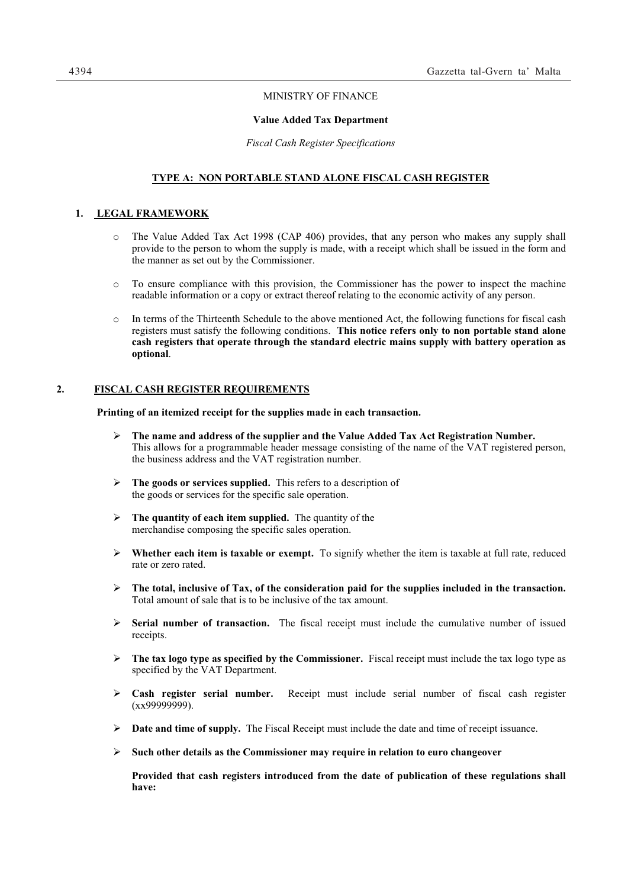# MINISTRY OF FINANCE

#### **Value Added Tax Department**

*Fiscal Cash Register Specifications* 

# **TYPE A: NON PORTABLE STAND ALONE FISCAL CASH REGISTER**

# **1. LEGAL FRAMEWORK**

- o The Value Added Tax Act 1998 (CAP 406) provides, that any person who makes any supply shall provide to the person to whom the supply is made, with a receipt which shall be issued in the form and the manner as set out by the Commissioner.
- o To ensure compliance with this provision, the Commissioner has the power to inspect the machine readable information or a copy or extract thereof relating to the economic activity of any person.
- o In terms of the Thirteenth Schedule to the above mentioned Act, the following functions for fiscal cash registers must satisfy the following conditions. **This notice refers only to non portable stand alone cash registers that operate through the standard electric mains supply with battery operation as optional**.

# **2. FISCAL CASH REGISTER REQUIREMENTS**

**Printing of an itemized receipt for the supplies made in each transaction.** 

- **The name and address of the supplier and the Value Added Tax Act Registration Number.**  This allows for a programmable header message consisting of the name of the VAT registered person, the business address and the VAT registration number.
- **The goods or services supplied.** This refers to a description of the goods or services for the specific sale operation.
- **The quantity of each item supplied.** The quantity of the merchandise composing the specific sales operation.
- **Whether each item is taxable or exempt.** To signify whether the item is taxable at full rate, reduced rate or zero rated.
- **The total, inclusive of Tax, of the consideration paid for the supplies included in the transaction.**  Total amount of sale that is to be inclusive of the tax amount.
- **Serial number of transaction.** The fiscal receipt must include the cumulative number of issued receipts.
- **The tax logo type as specified by the Commissioner.** Fiscal receipt must include the tax logo type as specified by the VAT Department.
- **Cash register serial number.** Receipt must include serial number of fiscal cash register  $(xx999999999)$ .
- $\triangleright$  **Date and time of supply.** The Fiscal Receipt must include the date and time of receipt issuance.
- **Such other details as the Commissioner may require in relation to euro changeover**

**Provided that cash registers introduced from the date of publication of these regulations shall have:**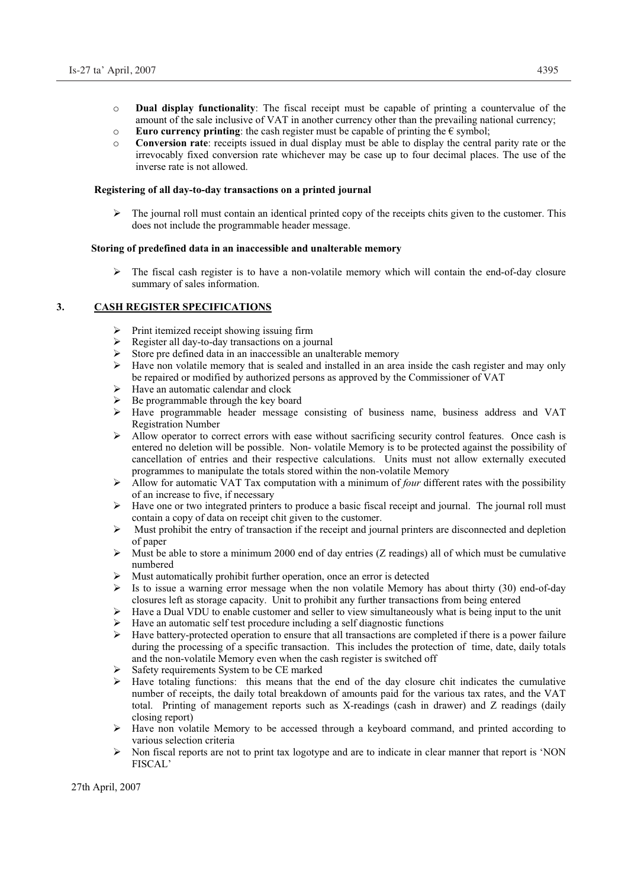- o **Dual display functionality**: The fiscal receipt must be capable of printing a countervalue of the amount of the sale inclusive of VAT in another currency other than the prevailing national currency;
- o **Euro currency printing**: the cash register must be capable of printing the € symbol;
- o **Conversion rate**: receipts issued in dual display must be able to display the central parity rate or the irrevocably fixed conversion rate whichever may be case up to four decimal places. The use of the inverse rate is not allowed.

# **Registering of all day-to-day transactions on a printed journal**

 The journal roll must contain an identical printed copy of the receipts chits given to the customer. This does not include the programmable header message.

# **Storing of predefined data in an inaccessible and unalterable memory**

 $\triangleright$  The fiscal cash register is to have a non-volatile memory which will contain the end-of-day closure summary of sales information.

# **3. CASH REGISTER SPECIFICATIONS**

- $\triangleright$  Print itemized receipt showing issuing firm<br> $\triangleright$  Register all day-to-day transactions on a joy
- Register all day-to-day transactions on a journal<br>Store are defined data in an inaccessible an unal
- Store pre defined data in an inaccessible an unalterable memory<br>  $\triangleright$  Have non volatile memory that is sealed and installed in an are
- Have non volatile memory that is sealed and installed in an area inside the cash register and may only be repaired or modified by authorized persons as approved by the Commissioner of VAT
- $\triangleright$  Have an automatic calendar and clock
- $\triangleright$  Be programmable through the key board
- Have programmable header message consisting of business name, business address and VAT Registration Number
- Allow operator to correct errors with ease without sacrificing security control features. Once cash is entered no deletion will be possible. Non- volatile Memory is to be protected against the possibility of cancellation of entries and their respective calculations. Units must not allow externally executed programmes to manipulate the totals stored within the non-volatile Memory
- Allow for automatic VAT Tax computation with a minimum of *four* different rates with the possibility of an increase to five, if necessary
- $\triangleright$  Have one or two integrated printers to produce a basic fiscal receipt and journal. The journal roll must contain a copy of data on receipt chit given to the customer.
- Must prohibit the entry of transaction if the receipt and journal printers are disconnected and depletion of paper
- $\triangleright$  Must be able to store a minimum 2000 end of day entries (Z readings) all of which must be cumulative numbered
- Must automatically prohibit further operation, once an error is detected
- $\triangleright$  Is to issue a warning error message when the non volatile Memory has about thirty (30) end-of-day closures left as storage capacity. Unit to prohibit any further transactions from being entered
- Have a Dual VDU to enable customer and seller to view simultaneously what is being input to the unit
- Have an automatic self test procedure including a self diagnostic functions
- $\triangleright$  Have battery-protected operation to ensure that all transactions are completed if there is a power failure during the processing of a specific transaction. This includes the protection of time, date, daily totals and the non-volatile Memory even when the cash register is switched off
- Safety requirements System to be CE marked
- $\triangleright$  Have totaling functions: this means that the end of the day closure chit indicates the cumulative number of receipts, the daily total breakdown of amounts paid for the various tax rates, and the VAT total. Printing of management reports such as X-readings (cash in drawer) and Z readings (daily closing report)
- Have non volatile Memory to be accessed through a keyboard command, and printed according to various selection criteria
- Non fiscal reports are not to print tax logotype and are to indicate in clear manner that report is 'NON FISCAL'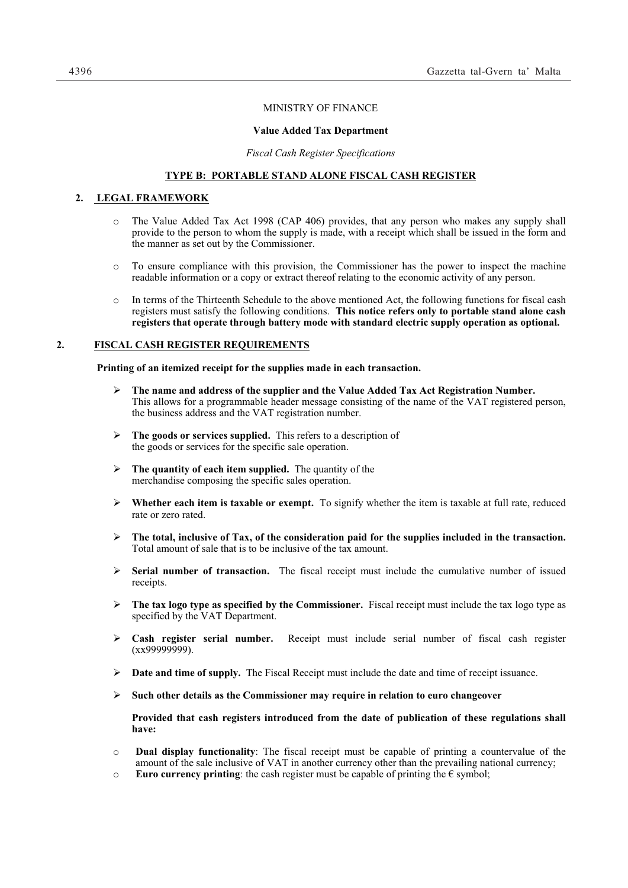## MINISTRY OF FINANCE

# **Value Added Tax Department**

*Fiscal Cash Register Specifications* 

## **TYPE B: PORTABLE STAND ALONE FISCAL CASH REGISTER**

## **2. LEGAL FRAMEWORK**

- The Value Added Tax Act 1998 (CAP 406) provides, that any person who makes any supply shall provide to the person to whom the supply is made, with a receipt which shall be issued in the form and the manner as set out by the Commissioner.
- o To ensure compliance with this provision, the Commissioner has the power to inspect the machine readable information or a copy or extract thereof relating to the economic activity of any person.
- o In terms of the Thirteenth Schedule to the above mentioned Act, the following functions for fiscal cash registers must satisfy the following conditions. **This notice refers only to portable stand alone cash registers that operate through battery mode with standard electric supply operation as optional.**

### **2. FISCAL CASH REGISTER REQUIREMENTS**

**Printing of an itemized receipt for the supplies made in each transaction.** 

- **The name and address of the supplier and the Value Added Tax Act Registration Number.**  This allows for a programmable header message consisting of the name of the VAT registered person, the business address and the VAT registration number.
- **The goods or services supplied.** This refers to a description of the goods or services for the specific sale operation.
- **The quantity of each item supplied.** The quantity of the merchandise composing the specific sales operation.
- **Whether each item is taxable or exempt.** To signify whether the item is taxable at full rate, reduced rate or zero rated.
- $\triangleright$  The total, inclusive of Tax, of the consideration paid for the supplies included in the transaction. Total amount of sale that is to be inclusive of the tax amount.
- **Serial number of transaction.** The fiscal receipt must include the cumulative number of issued receipts.
- **The tax logo type as specified by the Commissioner.** Fiscal receipt must include the tax logo type as specified by the VAT Department.
- **Cash register serial number.** Receipt must include serial number of fiscal cash register  $(xx999999999)$ .
- $\triangleright$  **Date and time of supply.** The Fiscal Receipt must include the date and time of receipt issuance.
- **Such other details as the Commissioner may require in relation to euro changeover**

**Provided that cash registers introduced from the date of publication of these regulations shall have:** 

- o **Dual display functionality**: The fiscal receipt must be capable of printing a countervalue of the amount of the sale inclusive of VAT in another currency other than the prevailing national currency;
- **Euro currency printing**: the cash register must be capable of printing the  $\epsilon$  symbol;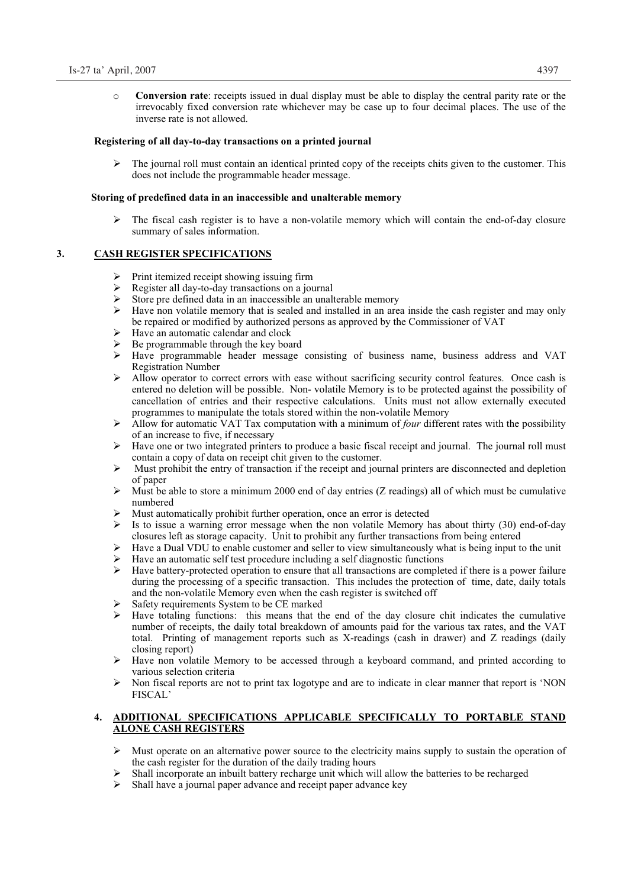o **Conversion rate**: receipts issued in dual display must be able to display the central parity rate or the irrevocably fixed conversion rate whichever may be case up to four decimal places. The use of the inverse rate is not allowed.

### **Registering of all day-to-day transactions on a printed journal**

 The journal roll must contain an identical printed copy of the receipts chits given to the customer. This does not include the programmable header message.

#### **Storing of predefined data in an inaccessible and unalterable memory**

 $\triangleright$  The fiscal cash register is to have a non-volatile memory which will contain the end-of-day closure summary of sales information.

## **3. CASH REGISTER SPECIFICATIONS**

- $\triangleright$  Print itemized receipt showing issuing firm
- Register all day-to-day transactions on a journal
- Store pre defined data in an inaccessible an unalterable memory
- $\triangleright$  Have non volatile memory that is sealed and installed in an area inside the cash register and may only be repaired or modified by authorized persons as approved by the Commissioner of VAT
- $\triangleright$  Have an automatic calendar and clock
- $\geq$  Be programmable through the key board<br> $\geq$  Have programmable header message
- Have programmable header message consisting of business name, business address and VAT Registration Number
- $\triangleright$  Allow operator to correct errors with ease without sacrificing security control features. Once cash is entered no deletion will be possible. Non- volatile Memory is to be protected against the possibility of cancellation of entries and their respective calculations. Units must not allow externally executed programmes to manipulate the totals stored within the non-volatile Memory
- Allow for automatic VAT Tax computation with a minimum of *four* different rates with the possibility of an increase to five, if necessary
- Have one or two integrated printers to produce a basic fiscal receipt and journal. The journal roll must contain a copy of data on receipt chit given to the customer.
- Must prohibit the entry of transaction if the receipt and journal printers are disconnected and depletion of paper
- Must be able to store a minimum 2000 end of day entries (Z readings) all of which must be cumulative numbered
- Must automatically prohibit further operation, once an error is detected  $\geq$  Is to issue a warning error message when the non-volatile Memory h
- Is to issue a warning error message when the non volatile Memory has about thirty (30) end-of-day closures left as storage capacity. Unit to prohibit any further transactions from being entered
- $\triangleright$  Have a Dual VDU to enable customer and seller to view simultaneously what is being input to the unit
- $\triangleright$  Have an automatic self test procedure including a self diagnostic functions  $\triangleright$  Have battery-protected operation to ensure that all transactions are comple
- Have battery-protected operation to ensure that all transactions are completed if there is a power failure during the processing of a specific transaction. This includes the protection of time, date, daily totals and the non-volatile Memory even when the cash register is switched off
- Safety requirements System to be CE marked
- Have totaling functions: this means that the end of the day closure chit indicates the cumulative number of receipts, the daily total breakdown of amounts paid for the various tax rates, and the VAT total. Printing of management reports such as X-readings (cash in drawer) and Z readings (daily closing report)
- $\triangleright$  Have non volatile Memory to be accessed through a keyboard command, and printed according to various selection criteria
- $\triangleright$  Non fiscal reports are not to print tax logotype and are to indicate in clear manner that report is 'NON FISCAL'

# **4. ADDITIONAL SPECIFICATIONS APPLICABLE SPECIFICALLY TO PORTABLE STAND ALONE CASH REGISTERS**

- $\triangleright$  Must operate on an alternative power source to the electricity mains supply to sustain the operation of the cash register for the duration of the daily trading hours
- Shall incorporate an inbuilt battery recharge unit which will allow the batteries to be recharged
- $\triangleright$  Shall have a journal paper advance and receipt paper advance key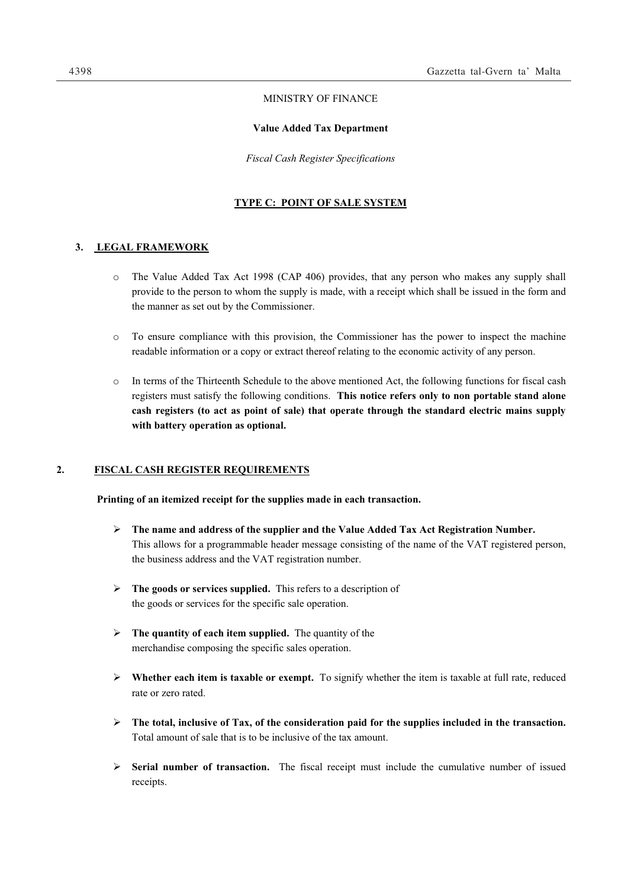# MINISTRY OF FINANCE

#### **Value Added Tax Department**

*Fiscal Cash Register Specifications* 

#### **TYPE C: POINT OF SALE SYSTEM**

## **3. LEGAL FRAMEWORK**

- o The Value Added Tax Act 1998 (CAP 406) provides, that any person who makes any supply shall provide to the person to whom the supply is made, with a receipt which shall be issued in the form and the manner as set out by the Commissioner.
- o To ensure compliance with this provision, the Commissioner has the power to inspect the machine readable information or a copy or extract thereof relating to the economic activity of any person.
- o In terms of the Thirteenth Schedule to the above mentioned Act, the following functions for fiscal cash registers must satisfy the following conditions. **This notice refers only to non portable stand alone cash registers (to act as point of sale) that operate through the standard electric mains supply with battery operation as optional.**

# **2. FISCAL CASH REGISTER REQUIREMENTS**

**Printing of an itemized receipt for the supplies made in each transaction.** 

- **The name and address of the supplier and the Value Added Tax Act Registration Number.**  This allows for a programmable header message consisting of the name of the VAT registered person, the business address and the VAT registration number.
- **The goods or services supplied.** This refers to a description of the goods or services for the specific sale operation.
- **The quantity of each item supplied.** The quantity of the merchandise composing the specific sales operation.
- **Whether each item is taxable or exempt.** To signify whether the item is taxable at full rate, reduced rate or zero rated.
- $\triangleright$  The total, inclusive of Tax, of the consideration paid for the supplies included in the transaction. Total amount of sale that is to be inclusive of the tax amount.
- **Serial number of transaction.** The fiscal receipt must include the cumulative number of issued receipts.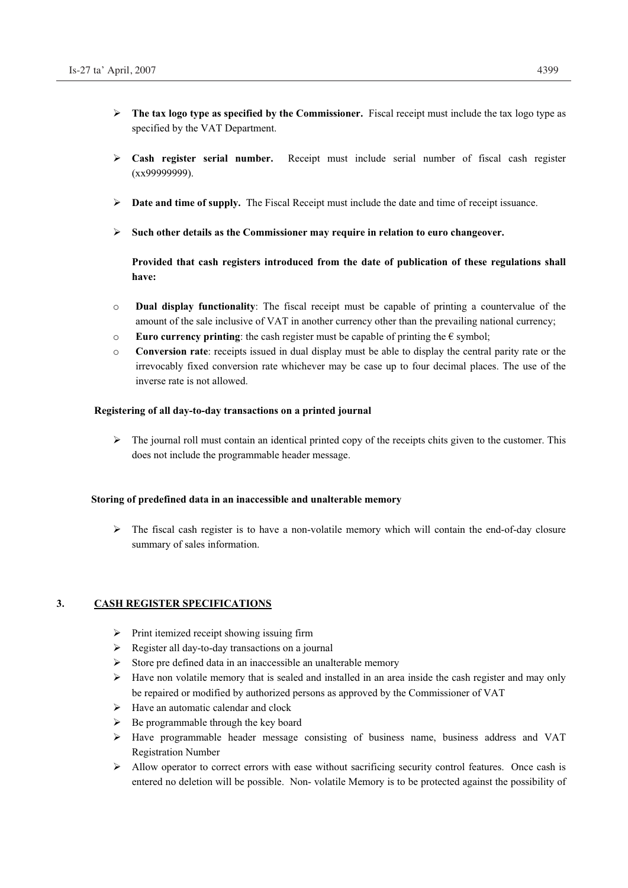- **The tax logo type as specified by the Commissioner.** Fiscal receipt must include the tax logo type as specified by the VAT Department.
- **Cash register serial number.** Receipt must include serial number of fiscal cash register  $(xx99999999)$ .
- $\triangleright$  **Date and time of supply.** The Fiscal Receipt must include the date and time of receipt issuance.
- **Such other details as the Commissioner may require in relation to euro changeover.**

**Provided that cash registers introduced from the date of publication of these regulations shall have:** 

- o **Dual display functionality**: The fiscal receipt must be capable of printing a countervalue of the amount of the sale inclusive of VAT in another currency other than the prevailing national currency;
- **Euro currency printing**: the cash register must be capable of printing the  $\epsilon$  symbol;
- o **Conversion rate**: receipts issued in dual display must be able to display the central parity rate or the irrevocably fixed conversion rate whichever may be case up to four decimal places. The use of the inverse rate is not allowed.

### **Registering of all day-to-day transactions on a printed journal**

 $\triangleright$  The journal roll must contain an identical printed copy of the receipts chits given to the customer. This does not include the programmable header message.

## **Storing of predefined data in an inaccessible and unalterable memory**

 $\triangleright$  The fiscal cash register is to have a non-volatile memory which will contain the end-of-day closure summary of sales information.

### **3. CASH REGISTER SPECIFICATIONS**

- $\triangleright$  Print itemized receipt showing issuing firm
- $\triangleright$  Register all day-to-day transactions on a journal
- $\triangleright$  Store pre defined data in an inaccessible an unalterable memory
- $\triangleright$  Have non volatile memory that is sealed and installed in an area inside the cash register and may only be repaired or modified by authorized persons as approved by the Commissioner of VAT
- $\triangleright$  Have an automatic calendar and clock
- $\triangleright$  Be programmable through the key board
- Have programmable header message consisting of business name, business address and VAT Registration Number
- Allow operator to correct errors with ease without sacrificing security control features. Once cash is entered no deletion will be possible. Non- volatile Memory is to be protected against the possibility of